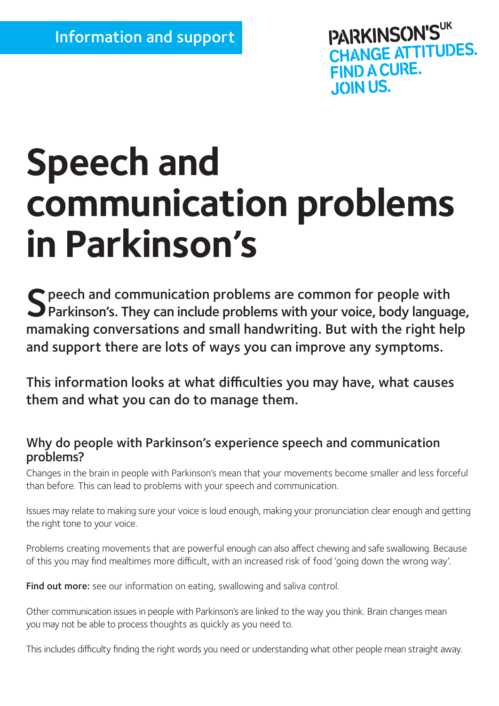PARKINSON'S **CHANGE ATTITUDES.** FIND A CURE. **JOIN US.** 

# **Speech and communication problems in Parkinson**'**s**

 $\bigcap$  peech and communication problems are common for people with Parkinson's. They can include problems with your voice, body language, mamaking conversations and small handwriting. But with the right help and support there are lots of ways you can improve any symptoms.

This information looks at what difficulties you may have, what causes them and what you can do to manage them.

## Why do people with Parkinson's experience speech and communication problems?

Changes in the brain in people with Parkinson's mean that your movements become smaller and less forceful than before. This can lead to problems with your speech and communication.

Issues may relate to making sure your voice is loud enough, making your pronunciation clear enough and getting the right tone to your voice.

Problems creating movements that are powerful enough can also affect chewing and safe swallowing. Because of this you may find mealtimes more difficult, with an increased risk of food 'going down the wrong way'.

Find out more: see our information on eating, swallowing and saliva control.

Other communication issues in people with Parkinson's are linked to the way you think. Brain changes mean you may not be able to process thoughts as quickly as you need to.

This includes difficulty finding the right words you need or understanding what other people mean straight away.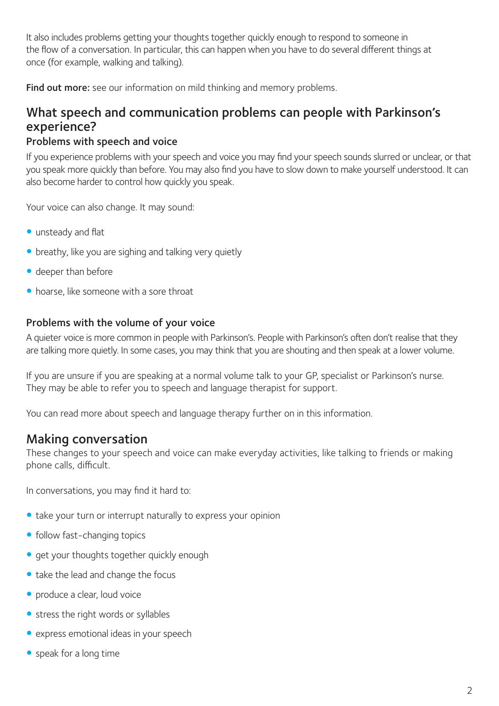It also includes problems getting your thoughts together quickly enough to respond to someone in the flow of a conversation. In particular, this can happen when you have to do several different things at once (for example, walking and talking).

Find out more: see our information on mild thinking and memory problems.

# What speech and communication problems can people with Parkinson's experience?

## Problems with speech and voice

If you experience problems with your speech and voice you may find your speech sounds slurred or unclear, or that you speak more quickly than before. You may also find you have to slow down to make yourself understood. It can also become harder to control how quickly you speak.

Your voice can also change. It may sound:

- **•** unsteady and flat
- breathy, like you are sighing and talking very quietly
- $\bullet$  deeper than before
- $\bullet$  hoarse, like someone with a sore throat

## Problems with the volume of your voice

A quieter voice is more common in people with Parkinson's. People with Parkinson's often don't realise that they are talking more quietly. In some cases, you may think that you are shouting and then speak at a lower volume.

If you are unsure if you are speaking at a normal volume talk to your GP, specialist or Parkinson's nurse. They may be able to refer you to speech and language therapist for support.

You can read more about speech and language therapy further on in this information.

## Making conversation

These changes to your speech and voice can make everyday activities, like talking to friends or making phone calls, difficult.

In conversations, you may find it hard to:

- take your turn or interrupt naturally to express your opinion
- follow fast-changing topics
- **•** get your thoughts together quickly enough
- take the lead and change the focus
- produce a clear, loud voice
- stress the right words or syllables
- express emotional ideas in your speech
- $\bullet$  speak for a long time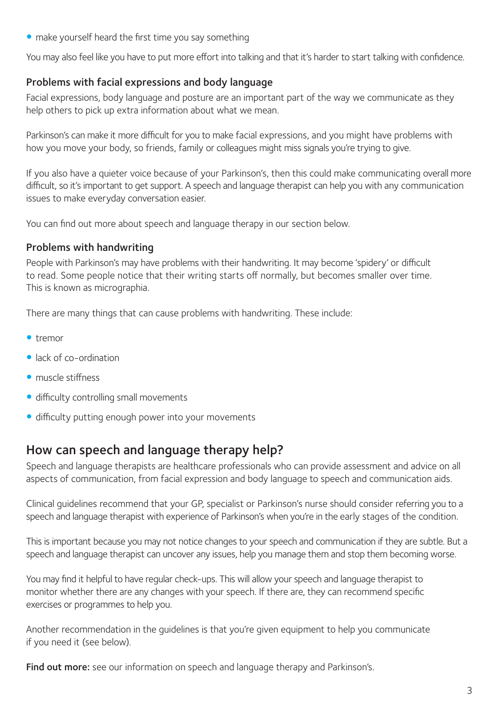• make yourself heard the first time you say something

You may also feel like you have to put more effort into talking and that it's harder to start talking with confidence.

## Problems with facial expressions and body language

Facial expressions, body language and posture are an important part of the way we communicate as they help others to pick up extra information about what we mean.

Parkinson's can make it more difficult for you to make facial expressions, and you might have problems with how you move your body, so friends, family or colleagues might miss signals you're trying to give.

If you also have a quieter voice because of your Parkinson's, then this could make communicating overall more difficult, so it's important to get support. A speech and language therapist can help you with any communication issues to make everyday conversation easier.

You can find out more about speech and language therapy in our section below.

## Problems with handwriting

People with Parkinson's may have problems with their handwriting. It may become 'spidery' or difficult to read. Some people notice that their writing starts off normally, but becomes smaller over time. This is known as micrographia.

There are many things that can cause problems with handwriting. These include:

- $\bullet$  tremor
- $\bullet$  lack of co-ordination
- muscle stiffness
- difficulty controlling small movements
- difficulty putting enough power into your movements

# How can speech and language therapy help?

Speech and language therapists are healthcare professionals who can provide assessment and advice on all aspects of communication, from facial expression and body language to speech and communication aids.

Clinical guidelines recommend that your GP, specialist or Parkinson's nurse should consider referring you to a speech and language therapist with experience of Parkinson's when you're in the early stages of the condition.

This is important because you may not notice changes to your speech and communication if they are subtle. But a speech and language therapist can uncover any issues, help you manage them and stop them becoming worse.

You may find it helpful to have regular check-ups. This will allow your speech and language therapist to monitor whether there are any changes with your speech. If there are, they can recommend specific exercises or programmes to help you.

Another recommendation in the guidelines is that you're given equipment to help you communicate if you need it (see below).

Find out more: see our information on speech and language therapy and Parkinson's.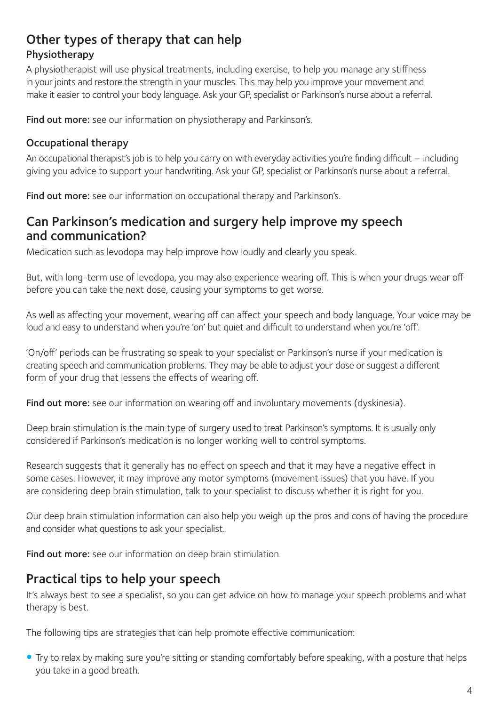# Other types of therapy that can help Physiotherapy

A physiotherapist will use physical treatments, including exercise, to help you manage any stiffness in your joints and restore the strength in your muscles. This may help you improve your movement and make it easier to control your body language. Ask your GP, specialist or Parkinson's nurse about a referral.

Find out more: see our information on physiotherapy and Parkinson's.

## Occupational therapy

An occupational therapist's job is to help you carry on with everyday activities you're finding difficult – including giving you advice to support your handwriting. Ask your GP, specialist or Parkinson's nurse about a referral.

Find out more: see our information on occupational therapy and Parkinson's.

## Can Parkinson's medication and surgery help improve my speech and communication?

Medication such as levodopa may help improve how loudly and clearly you speak.

But, with long-term use of levodopa, you may also experience wearing off. This is when your drugs wear off before you can take the next dose, causing your symptoms to get worse.

As well as affecting your movement, wearing off can affect your speech and body language. Your voice may be loud and easy to understand when you're 'on' but quiet and difficult to understand when you're 'off'.

'On/off' periods can be frustrating so speak to your specialist or Parkinson's nurse if your medication is creating speech and communication problems. They may be able to adjust your dose or suggest a different form of your drug that lessens the effects of wearing off.

Find out more: see our information on wearing off and involuntary movements (dyskinesia).

Deep brain stimulation is the main type of surgery used to treat Parkinson's symptoms. It is usually only considered if Parkinson's medication is no longer working well to control symptoms.

Research suggests that it generally has no effect on speech and that it may have a negative effect in some cases. However, it may improve any motor symptoms (movement issues) that you have. If you are considering deep brain stimulation, talk to your specialist to discuss whether it is right for you.

Our deep brain stimulation information can also help you weigh up the pros and cons of having the procedure and consider what questions to ask your specialist.

Find out more: see our information on deep brain stimulation.

# Practical tips to help your speech

It's always best to see a specialist, so you can get advice on how to manage your speech problems and what therapy is best.

The following tips are strategies that can help promote effective communication:

• Try to relax by making sure you're sitting or standing comfortably before speaking, with a posture that helps you take in a good breath.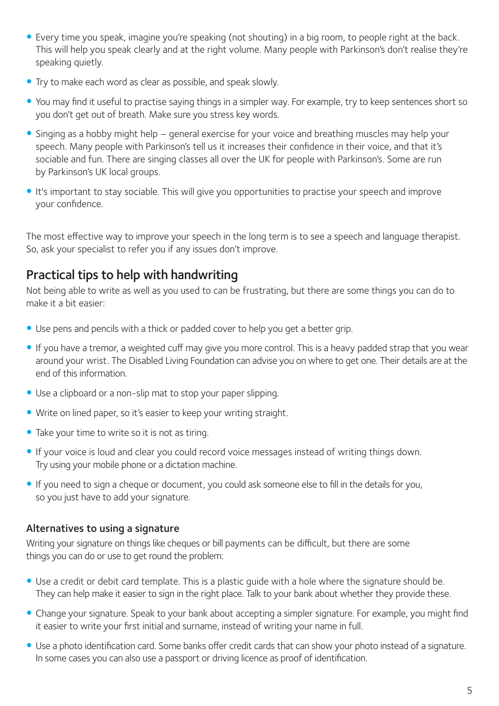- Every time you speak, imagine you're speaking (not shouting) in a big room, to people right at the back. This will help you speak clearly and at the right volume. Many people with Parkinson's don't realise they're speaking quietly.
- Try to make each word as clear as possible, and speak slowly.
- You may find it useful to practise saying things in a simpler way. For example, try to keep sentences short so you don't get out of breath. Make sure you stress key words.
- Singing as a hobby might help general exercise for your voice and breathing muscles may help your speech. Many people with Parkinson's tell us it increases their confidence in their voice, and that it's sociable and fun. There are singing classes all over the UK for people with Parkinson's. Some are run by Parkinson's UK local groups.
- It's important to stay sociable. This will give you opportunities to practise your speech and improve your confidence.

The most effective way to improve your speech in the long term is to see a speech and language therapist. So, ask your specialist to refer you if any issues don't improve.

# Practical tips to help with handwriting

Not being able to write as well as you used to can be frustrating, but there are some things you can do to make it a bit easier:

- Use pens and pencils with a thick or padded cover to help you get a better grip.
- If you have a tremor, a weighted cuff may give you more control. This is a heavy padded strap that you wear around your wrist. The Disabled Living Foundation can advise you on where to get one. Their details are at the end of this information.
- Use a clipboard or a non-slip mat to stop your paper slipping.
- Write on lined paper, so it's easier to keep your writing straight.
- Take your time to write so it is not as tiring.
- If your voice is loud and clear you could record voice messages instead of writing things down. Try using your mobile phone or a dictation machine.
- y If you need to sign a cheque or document, you could ask someone else to fill in the details for you, so you just have to add your signature.

## Alternatives to using a signature

Writing your signature on things like cheques or bill payments can be difficult, but there are some things you can do or use to get round the problem:

- Use a credit or debit card template. This is a plastic quide with a hole where the signature should be. They can help make it easier to sign in the right place. Talk to your bank about whether they provide these.
- Change your signature. Speak to your bank about accepting a simpler signature. For example, you might find it easier to write your first initial and surname, instead of writing your name in full.
- Use a photo identification card. Some banks offer credit cards that can show your photo instead of a signature. In some cases you can also use a passport or driving licence as proof of identification.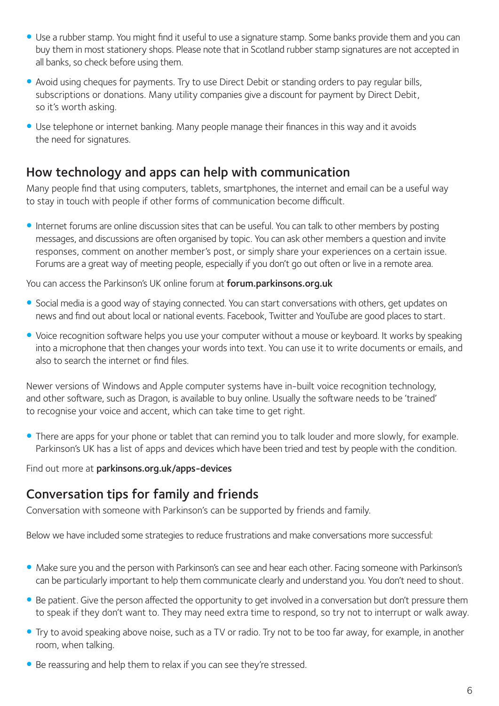- Use a rubber stamp. You might find it useful to use a signature stamp. Some banks provide them and you can buy them in most stationery shops. Please note that in Scotland rubber stamp signatures are not accepted in all banks, so check before using them.
- Avoid using cheques for payments. Try to use Direct Debit or standing orders to pay regular bills, subscriptions or donations. Many utility companies give a discount for payment by Direct Debit, so it's worth asking.
- Use telephone or internet banking. Many people manage their finances in this way and it avoids the need for signatures.

# How technology and apps can help with communication

Many people find that using computers, tablets, smartphones, the internet and email can be a useful way to stay in touch with people if other forms of communication become difficult.

• Internet forums are online discussion sites that can be useful. You can talk to other members by posting messages, and discussions are often organised by topic. You can ask other members a question and invite responses, comment on another member's post, or simply share your experiences on a certain issue. Forums are a great way of meeting people, especially if you don't go out often or live in a remote area.

You can access the Parkinson's UK online forum at forum.parkinsons.org.uk

- Social media is a good way of staying connected. You can start conversations with others, get updates on news and find out about local or national events. Facebook, Twitter and YouTube are good places to start.
- Voice recognition software helps you use your computer without a mouse or keyboard. It works by speaking into a microphone that then changes your words into text. You can use it to write documents or emails, and also to search the internet or find files.

Newer versions of Windows and Apple computer systems have in-built voice recognition technology, and other software, such as Dragon, is available to buy online. Usually the software needs to be 'trained' to recognise your voice and accent, which can take time to get right.

• There are apps for your phone or tablet that can remind you to talk louder and more slowly, for example. Parkinson's UK has a list of apps and devices which have been tried and test by people with the condition.

Find out more at parkinsons.org.uk/apps-devices

# Conversation tips for family and friends

Conversation with someone with Parkinson's can be supported by friends and family.

Below we have included some strategies to reduce frustrations and make conversations more successful:

- Make sure you and the person with Parkinson's can see and hear each other. Facing someone with Parkinson's can be particularly important to help them communicate clearly and understand you. You don't need to shout.
- Be patient. Give the person affected the opportunity to get involved in a conversation but don't pressure them to speak if they don't want to. They may need extra time to respond, so try not to interrupt or walk away.
- Try to avoid speaking above noise, such as a TV or radio. Try not to be too far away, for example, in another room, when talking.
- Be reassuring and help them to relax if you can see they're stressed.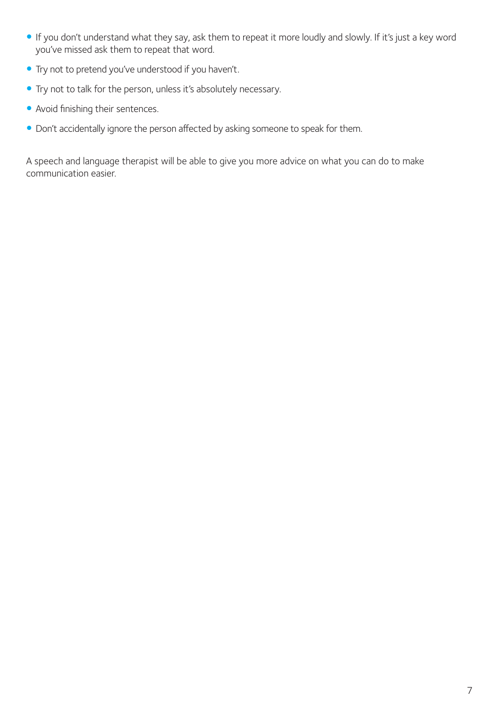- y If you don't understand what they say, ask them to repeat it more loudly and slowly. If it's just a key word you've missed ask them to repeat that word.
- Try not to pretend you've understood if you haven't.
- Try not to talk for the person, unless it's absolutely necessary.
- Avoid finishing their sentences.
- Don't accidentally ignore the person affected by asking someone to speak for them.

A speech and language therapist will be able to give you more advice on what you can do to make communication easier.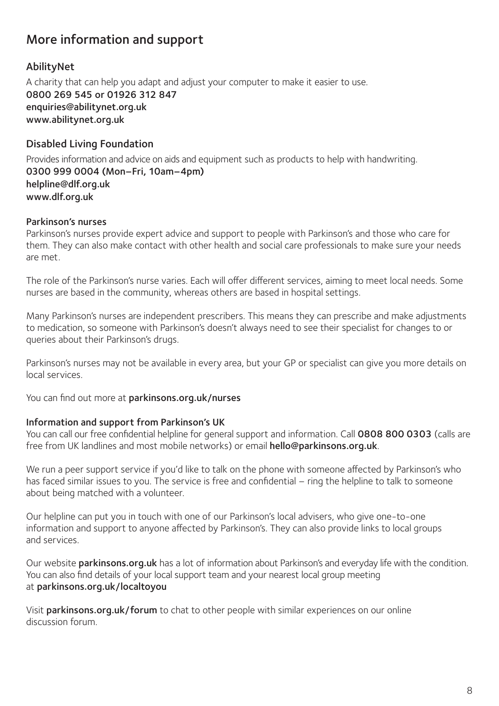# More information and support

## AbilityNet

A charity that can help you adapt and adjust your computer to make it easier to use. 0800 269 545 or 01926 312 847 enquiries@abilitynet.org.uk www.abilitynet.org.uk

## Disabled Living Foundation

Provides information and advice on aids and equipment such as products to help with handwriting. 0300 999 0004 (Mon–Fri, 10am–4pm) helpline@dlf.org.uk www.dlf.org.uk

#### Parkinson's nurses

Parkinson's nurses provide expert advice and support to people with Parkinson's and those who care for them. They can also make contact with other health and social care professionals to make sure your needs are met.

The role of the Parkinson's nurse varies. Each will offer different services, aiming to meet local needs. Some nurses are based in the community, whereas others are based in hospital settings.

Many Parkinson's nurses are independent prescribers. This means they can prescribe and make adjustments to medication, so someone with Parkinson's doesn't always need to see their specialist for changes to or queries about their Parkinson's drugs.

Parkinson's nurses may not be available in every area, but your GP or specialist can give you more details on local services.

You can find out more at parkinsons.org.uk/nurses

## Information and support from Parkinson's UK

You can call our free confidential helpline for general support and information. Call 0808 800 0303 (calls are free from UK landlines and most mobile networks) or email hello@parkinsons.org.uk.

We run a peer support service if you'd like to talk on the phone with someone affected by Parkinson's who has faced similar issues to you. The service is free and confidential – ring the helpline to talk to someone about being matched with a volunteer.

Our helpline can put you in touch with one of our Parkinson's local advisers, who give one-to-one information and support to anyone affected by Parkinson's. They can also provide links to local groups and services.

Our website parkinsons.org.uk has a lot of information about Parkinson's and everyday life with the condition. You can also find details of your local support team and your nearest local group meeting at parkinsons.org.uk/localtoyou

Visit parkinsons.org.uk/forum to chat to other people with similar experiences on our online discussion forum.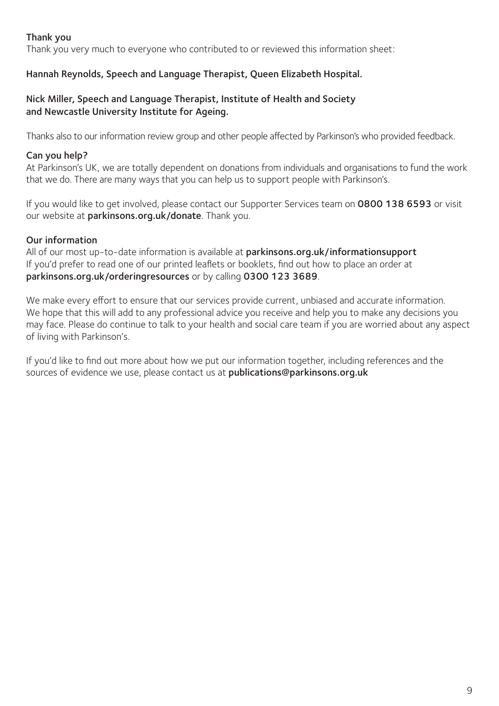## Thank you

Thank you very much to everyone who contributed to or reviewed this information sheet:

## Hannah Reynolds, Speech and Language Therapist, Queen Elizabeth Hospital.

#### Nick Miller, Speech and Language Therapist, Institute of Health and Society and Newcastle University Institute for Ageing.

Thanks also to our information review group and other people affected by Parkinson's who provided feedback.

## Can you help?

At Parkinson's UK, we are totally dependent on donations from individuals and organisations to fund the work that we do. There are many ways that you can help us to support people with Parkinson's.

If you would like to get involved, please contact our Supporter Services team on 0800 138 6593 or visit our website at parkinsons.org.uk/donate. Thank you.

## Our information

All of our most up-to-date information is available at parkinsons.org.uk/informationsupport If you'd prefer to read one of our printed leaflets or booklets, find out how to place an order at parkinsons.org.uk/orderingresources or by calling 0300 123 3689.

We make every effort to ensure that our services provide current, unbiased and accurate information. We hope that this will add to any professional advice you receive and help you to make any decisions you may face. Please do continue to talk to your health and social care team if you are worried about any aspect of living with Parkinson's.

If you'd like to find out more about how we put our information together, including references and the sources of evidence we use, please contact us at publications@parkinsons.org.uk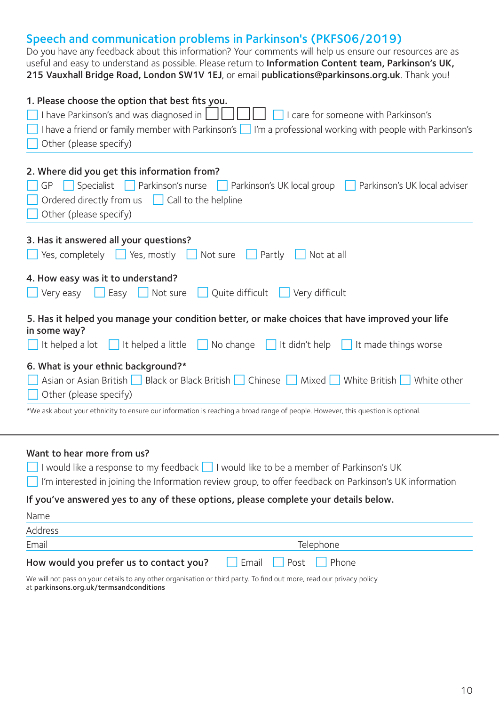# Speech and communication problems in Parkinson's (PKFS06/2019)

Do you have any feedback about this information? Your comments will help us ensure our resources are as useful and easy to understand as possible. Please return to Information Content team, Parkinson's UK, 215 Vauxhall Bridge Road, London SW1V 1EJ, or email publications@parkinsons.org.uk. Thank you!

| 1. Please choose the option that best fits you.                                                                                 |  |  |
|---------------------------------------------------------------------------------------------------------------------------------|--|--|
| I have Parkinson's and was diagnosed in $\Box$<br>I care for someone with Parkinson's                                           |  |  |
| I have a friend or family member with Parkinson's   I'm a professional working with people with Parkinson's                     |  |  |
| Other (please specify)                                                                                                          |  |  |
|                                                                                                                                 |  |  |
| 2. Where did you get this information from?                                                                                     |  |  |
| Specialist Parkinson's nurse Parkinson's UK local group<br>GP<br>Parkinson's UK local adviser                                   |  |  |
| Ordered directly from us   Call to the helpline                                                                                 |  |  |
| Other (please specify)                                                                                                          |  |  |
|                                                                                                                                 |  |  |
| 3. Has it answered all your questions?                                                                                          |  |  |
| Yes, completely $\Box$ Yes, mostly $\Box$ Not sure<br>Not at all<br>$\vert$ Partly                                              |  |  |
|                                                                                                                                 |  |  |
| 4. How easy was it to understand?                                                                                               |  |  |
| Not sure<br>Quite difficult   Very difficult<br>Very easy<br>$\vert$ Easy                                                       |  |  |
| 5. Has it helped you manage your condition better, or make choices that have improved your life                                 |  |  |
| in some way?                                                                                                                    |  |  |
| It didn't help<br>No change<br>It helped a lot $\ $ It helped a little $\ $<br>It made things worse<br>$\mathbf{1}$             |  |  |
| 6. What is your ethnic background?*                                                                                             |  |  |
| Asian or Asian British   Black or Black British   Chinese   Mixed   White British   White other                                 |  |  |
| Other (please specify)                                                                                                          |  |  |
| *We ask about your ethnicity to ensure our information is reaching a broad range of people. However, this question is optional. |  |  |
|                                                                                                                                 |  |  |
|                                                                                                                                 |  |  |

#### Want to hear more from us?

| I would like a response to my feedback I I would like to be a member of Parkinson's UK                  |
|---------------------------------------------------------------------------------------------------------|
| I'm interested in joining the Information review group, to offer feedback on Parkinson's UK information |
| If you've answered yes to any of these options, please complete your details below.                     |
| Name                                                                                                    |
| Address                                                                                                 |

| AUUI CSS                                |                  |
|-----------------------------------------|------------------|
| Email                                   | Telephone        |
| How would you prefer us to contact you? | Email Post Phone |

We will not pass on your details to any other organisation or third party. To find out more, read our privacy policy at parkinsons.org.uk/termsandconditions